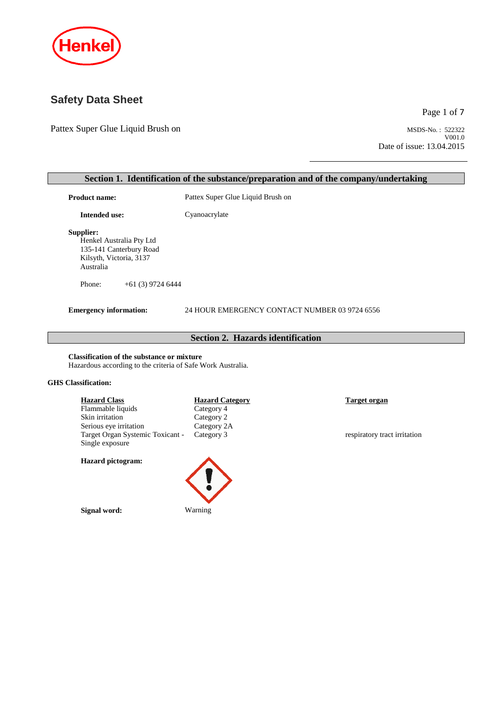

## **Safety Data Sheet**

Pattex Super Glue Liquid Brush on MSDS-No.: 522322

Page 1 of 7

V001.0 Date of issue: 13.04.2015

# **Section 1. Identification of the substance/preparation and of the company/undertaking Product name:** Pattex Super Glue Liquid Brush on **Intended use:** Cyanoacrylate **Supplier:** Henkel Australia Pty Ltd 135-141 Canterbury Road Kilsyth, Victoria, 3137 Australia Phone: +61 (3) 9724 6444 **Emergency information:** 24 HOUR EMERGENCY CONTACT NUMBER 03 9724 6556 **Section 2. Hazards identification Classification of the substance or mixture** Hazardous according to the criteria of Safe Work Australia.

### **GHS Classification:**

**Hazard Class Hazard Category Target organ** Flammable liquids Category 4<br>Skin irritation Category 2 Skin irritation Serious eye irritation Category 2A<br>Target Organ Systemic Toxicant - Category 3 Target Organ Systemic Toxicant - Single exposure

#### **Hazard pictogram:**

**Signal word:** Warning



respiratory tract irritation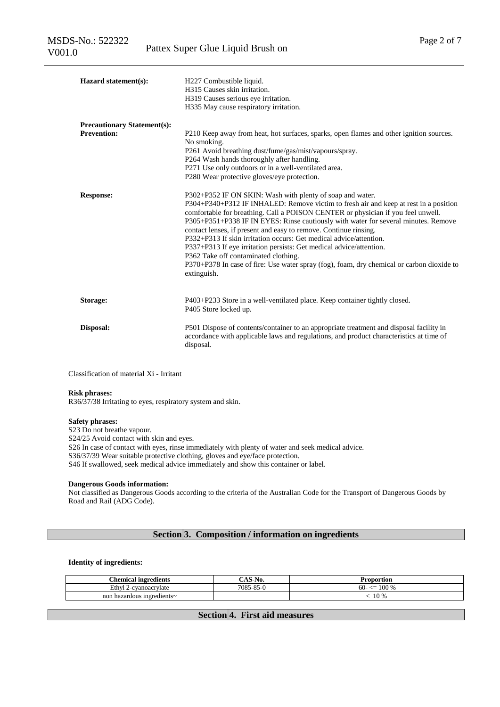| Hazard statement(s):               | H227 Combustible liquid.<br>H315 Causes skin irritation.<br>H319 Causes serious eye irritation.<br>H335 May cause respiratory irritation.                                                                                                                                                                                                                                                                                                                                                                                                                                                                                                                                                        |  |  |
|------------------------------------|--------------------------------------------------------------------------------------------------------------------------------------------------------------------------------------------------------------------------------------------------------------------------------------------------------------------------------------------------------------------------------------------------------------------------------------------------------------------------------------------------------------------------------------------------------------------------------------------------------------------------------------------------------------------------------------------------|--|--|
| <b>Precautionary Statement(s):</b> |                                                                                                                                                                                                                                                                                                                                                                                                                                                                                                                                                                                                                                                                                                  |  |  |
| <b>Prevention:</b>                 | P210 Keep away from heat, hot surfaces, sparks, open flames and other ignition sources.<br>No smoking.<br>P261 Avoid breathing dust/fume/gas/mist/vapours/spray.<br>P264 Wash hands thoroughly after handling.<br>P271 Use only outdoors or in a well-ventilated area.<br>P280 Wear protective gloves/eye protection.                                                                                                                                                                                                                                                                                                                                                                            |  |  |
| <b>Response:</b>                   | P302+P352 IF ON SKIN: Wash with plenty of soap and water.<br>P304+P340+P312 IF INHALED: Remove victim to fresh air and keep at rest in a position<br>comfortable for breathing. Call a POISON CENTER or physician if you feel unwell.<br>P305+P351+P338 IF IN EYES: Rinse cautiously with water for several minutes. Remove<br>contact lenses, if present and easy to remove. Continue rinsing.<br>P332+P313 If skin irritation occurs: Get medical advice/attention.<br>P337+P313 If eye irritation persists: Get medical advice/attention.<br>P362 Take off contaminated clothing.<br>P370+P378 In case of fire: Use water spray (fog), foam, dry chemical or carbon dioxide to<br>extinguish. |  |  |
| Storage:                           | P403+P233 Store in a well-ventilated place. Keep container tightly closed.<br>P405 Store locked up.                                                                                                                                                                                                                                                                                                                                                                                                                                                                                                                                                                                              |  |  |
| Disposal:                          | P501 Dispose of contents/container to an appropriate treatment and disposal facility in<br>accordance with applicable laws and regulations, and product characteristics at time of<br>disposal.                                                                                                                                                                                                                                                                                                                                                                                                                                                                                                  |  |  |

Classification of material Xi - Irritant

#### **Risk phrases:**

R36/37/38 Irritating to eyes, respiratory system and skin.

#### **Safety phrases:**

S23 Do not breathe vapour. S24/25 Avoid contact with skin and eyes. S26 In case of contact with eyes, rinse immediately with plenty of water and seek medical advice. S36/37/39 Wear suitable protective clothing, gloves and eye/face protection. S46 If swallowed, seek medical advice immediately and show this container or label.

### **Dangerous Goods information:**

Not classified as Dangerous Goods according to the criteria of the Australian Code for the Transport of Dangerous Goods by Road and Rail (ADG Code).

### **Section 3. Composition / information on ingredients**

#### **Identity of ingredients:**

| <b>Chemical ingredients</b> | AS-No.    | Proportion             |
|-----------------------------|-----------|------------------------|
| Ethyl 2-cyanoacrylate       | 7085-85-0 | 100 %<br>$60 - \leq 1$ |
| non hazardous ingredients~  |           | 10 %                   |
|                             |           |                        |

**Section 4. First aid measures**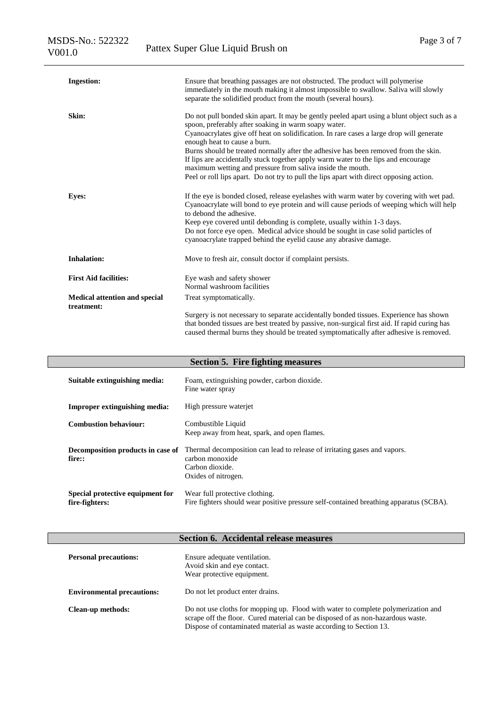| <b>Ingestion:</b>                           | Ensure that breathing passages are not obstructed. The product will polymerise<br>immediately in the mouth making it almost impossible to swallow. Saliva will slowly<br>separate the solidified product from the mouth (several hours).                                                                                                                                                                                                                                                                                                                                                                              |  |  |
|---------------------------------------------|-----------------------------------------------------------------------------------------------------------------------------------------------------------------------------------------------------------------------------------------------------------------------------------------------------------------------------------------------------------------------------------------------------------------------------------------------------------------------------------------------------------------------------------------------------------------------------------------------------------------------|--|--|
| Skin:                                       | Do not pull bonded skin apart. It may be gently peeled apart using a blunt object such as a<br>spoon, preferably after soaking in warm soapy water.<br>Cyanoacrylates give off heat on solidification. In rare cases a large drop will generate<br>enough heat to cause a burn.<br>Burns should be treated normally after the adhesive has been removed from the skin.<br>If lips are accidentally stuck together apply warm water to the lips and encourage<br>maximum wetting and pressure from saliva inside the mouth.<br>Peel or roll lips apart. Do not try to pull the lips apart with direct opposing action. |  |  |
| <b>Eyes:</b>                                | If the eye is bonded closed, release eyelashes with warm water by covering with wet pad.<br>Cyanoacrylate will bond to eye protein and will cause periods of weeping which will help<br>to debond the adhesive.<br>Keep eye covered until debonding is complete, usually within 1-3 days.<br>Do not force eye open. Medical advice should be sought in case solid particles of<br>cyanoacrylate trapped behind the eyelid cause any abrasive damage.                                                                                                                                                                  |  |  |
| <b>Inhalation:</b>                          | Move to fresh air, consult doctor if complaint persists.                                                                                                                                                                                                                                                                                                                                                                                                                                                                                                                                                              |  |  |
| <b>First Aid facilities:</b>                | Eye wash and safety shower<br>Normal washroom facilities                                                                                                                                                                                                                                                                                                                                                                                                                                                                                                                                                              |  |  |
| Medical attention and special<br>treatment: | Treat symptomatically.                                                                                                                                                                                                                                                                                                                                                                                                                                                                                                                                                                                                |  |  |
|                                             | Surgery is not necessary to separate accidentally bonded tissues. Experience has shown<br>that bonded tissues are best treated by passive, non-surgical first aid. If rapid curing has<br>caused thermal burns they should be treated symptomatically after adhesive is removed.                                                                                                                                                                                                                                                                                                                                      |  |  |

| Section 5. Fire fighting measures                  |                                                                                                                                        |  |  |  |  |
|----------------------------------------------------|----------------------------------------------------------------------------------------------------------------------------------------|--|--|--|--|
| Suitable extinguishing media:                      | Foam, extinguishing powder, carbon dioxide.<br>Fine water spray                                                                        |  |  |  |  |
| <b>Improper extinguishing media:</b>               | High pressure waterjet                                                                                                                 |  |  |  |  |
| <b>Combustion behaviour:</b>                       | Combustible Liquid<br>Keep away from heat, spark, and open flames.                                                                     |  |  |  |  |
| Decomposition products in case of<br>fire::        | Thermal decomposition can lead to release of irritating gases and vapors.<br>carbon monoxide<br>Carbon dioxide.<br>Oxides of nitrogen. |  |  |  |  |
| Special protective equipment for<br>fire-fighters: | Wear full protective clothing.<br>Fire fighters should wear positive pressure self-contained breathing apparatus (SCBA).               |  |  |  |  |

## **Section 6. Accidental release measures**

| <b>Personal precautions:</b>      | Ensure adequate ventilation.<br>Avoid skin and eye contact.<br>Wear protective equipment.                                                                                                                                                  |  |  |
|-----------------------------------|--------------------------------------------------------------------------------------------------------------------------------------------------------------------------------------------------------------------------------------------|--|--|
| <b>Environmental precautions:</b> | Do not let product enter drains.                                                                                                                                                                                                           |  |  |
| <b>Clean-up methods:</b>          | Do not use cloths for mopping up. Flood with water to complete polymerization and<br>scrape off the floor. Cured material can be disposed of as non-hazardous waste.<br>Dispose of contaminated material as waste according to Section 13. |  |  |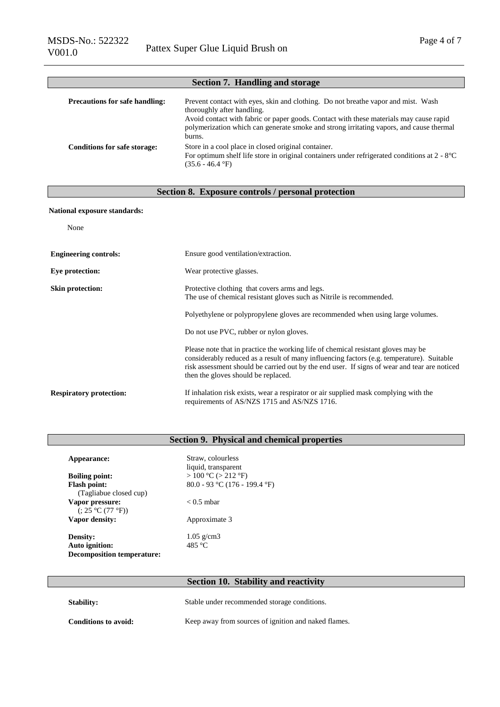| Section 7. Handling and storage       |                                                                                                                                                                                                                                                                                                                 |  |  |  |
|---------------------------------------|-----------------------------------------------------------------------------------------------------------------------------------------------------------------------------------------------------------------------------------------------------------------------------------------------------------------|--|--|--|
| <b>Precautions for safe handling:</b> | Prevent contact with eyes, skin and clothing. Do not breather vapor and mist. Wash<br>thoroughly after handling.<br>Avoid contact with fabric or paper goods. Contact with these materials may cause rapid<br>polymerization which can generate smoke and strong irritating vapors, and cause thermal<br>burns. |  |  |  |
| <b>Conditions for safe storage:</b>   | Store in a cool place in closed original container.<br>For optimum shelf life store in original containers under refrigerated conditions at $2 - 8^{\circ}C$<br>$(35.6 - 46.4 \text{ }^{\circ}\text{F})$                                                                                                        |  |  |  |

### **Section 8. Exposure controls / personal protection**

### **National exposure standards:**

| None                           |                                                                                                                                                                                                                                                                                                                       |  |  |  |
|--------------------------------|-----------------------------------------------------------------------------------------------------------------------------------------------------------------------------------------------------------------------------------------------------------------------------------------------------------------------|--|--|--|
| <b>Engineering controls:</b>   | Ensure good ventilation/extraction.                                                                                                                                                                                                                                                                                   |  |  |  |
| Eye protection:                | Wear protective glasses.                                                                                                                                                                                                                                                                                              |  |  |  |
| <b>Skin protection:</b>        | Protective clothing that covers arms and legs.<br>The use of chemical resistant gloves such as Nitrile is recommended.                                                                                                                                                                                                |  |  |  |
|                                | Polyethylene or polypropylene gloves are recommended when using large volumes.                                                                                                                                                                                                                                        |  |  |  |
|                                | Do not use PVC, rubber or nylon gloves.                                                                                                                                                                                                                                                                               |  |  |  |
|                                | Please note that in practice the working life of chemical resistant gloves may be<br>considerably reduced as a result of many influencing factors (e.g. temperature). Suitable<br>risk assessment should be carried out by the end user. If signs of wear and tear are noticed<br>then the gloves should be replaced. |  |  |  |
| <b>Respiratory protection:</b> | If inhalation risk exists, wear a respirator or air supplied mask complying with the<br>requirements of AS/NZS 1715 and AS/NZS 1716.                                                                                                                                                                                  |  |  |  |

## **Section 9. Physical and chemical properties**

| Appearance:                         | Straw, colourless<br>liquid, transparent |
|-------------------------------------|------------------------------------------|
| <b>Boiling point:</b>               | $> 100 °C$ ( $> 212 °F$ )                |
| <b>Flash point:</b>                 | 80.0 - 93 °C (176 - 199.4 °F)            |
| (Tagliabue closed cup)              |                                          |
| Vapor pressure:<br>(.25 °C (77 °F)) | $< 0.5$ mbar                             |
| Vapor density:                      | Approximate 3                            |
| Density:                            | $1.05$ g/cm3                             |
| <b>Auto ignition:</b>               | 485 °C                                   |
| <b>Decomposition temperature:</b>   |                                          |

## **Section 10. Stability and reactivity**

| <b>Stability:</b>    | Stable under recommended storage conditions.         |
|----------------------|------------------------------------------------------|
| Conditions to avoid: | Keep away from sources of ignition and naked flames. |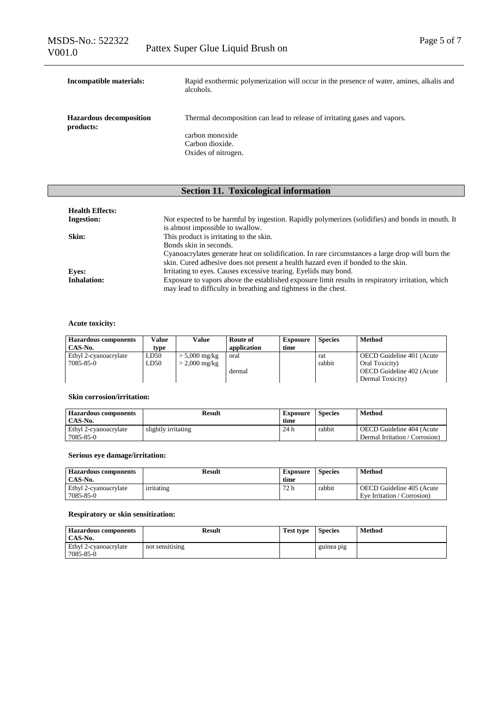| Incompatible materials:                     | Rapid exothermic polymerization will occur in the presence of water, amines, alkalis and<br>alcohols. |  |  |
|---------------------------------------------|-------------------------------------------------------------------------------------------------------|--|--|
| <b>Hazardous decomposition</b><br>products: | Thermal decomposition can lead to release of irritating gases and vapors.                             |  |  |
|                                             | carbon monoxide                                                                                       |  |  |
|                                             | Carbon dioxide.                                                                                       |  |  |
|                                             | Oxides of nitrogen.                                                                                   |  |  |

## **Section 11. Toxicological information**

| <b>Health Effects:</b> |                                                                                                                                                                                       |
|------------------------|---------------------------------------------------------------------------------------------------------------------------------------------------------------------------------------|
| <b>Ingestion:</b>      | Not expected to be harmful by ingestion. Rapidly polymerizes (solidifies) and bonds in mouth. It                                                                                      |
|                        | is almost impossible to swallow.                                                                                                                                                      |
| Skin:                  | This product is irritating to the skin.                                                                                                                                               |
|                        | Bonds skin in seconds.                                                                                                                                                                |
|                        | Cyanoacrylates generate heat on solidification. In rare circumstances a large drop will burn the<br>skin. Cured adhesive does not present a health hazard even if bonded to the skin. |
| <b>Eves:</b>           | Irritating to eyes. Causes excessive tearing. Eyelids may bond.                                                                                                                       |
| <b>Inhalation:</b>     | Exposure to vapors above the established exposure limit results in respiratory irritation, which<br>may lead to difficulty in breathing and tightness in the chest.                   |

### **Acute toxicity:**

| <b>Hazardous components</b><br>CAS-No. | Value<br>type | Value                   | Route of<br>application | <b>Exposure</b><br>time | <b>Species</b> | Method                     |
|----------------------------------------|---------------|-------------------------|-------------------------|-------------------------|----------------|----------------------------|
| Ethyl 2-cyanoacrylate                  | LD50          | $> 5,000 \text{ mg/kg}$ | oral                    |                         | rat            | OECD Guideline 401 (Acute) |
| 7085-85-0                              | LD50          | $> 2,000 \text{ mg/kg}$ |                         |                         | rabbit         | Oral Toxicity)             |
|                                        |               |                         | dermal                  |                         |                | OECD Guideline 402 (Acute  |
|                                        |               |                         |                         |                         |                | Dermal Toxicity)           |

### **Skin corrosion/irritation:**

| <b>Hazardous components</b> | Result              | Exposure | <b>Species</b> | Method                         |
|-----------------------------|---------------------|----------|----------------|--------------------------------|
| CAS-No.                     |                     | time     |                |                                |
| Ethyl 2-cyanoacrylate       | slightly irritating | 24h      | rabbit         | OECD Guideline 404 (Acute      |
| 7085-85-0                   |                     |          |                | Dermal Irritation / Corrosion) |

### **Serious eye damage/irritation:**

| <b>Hazardous components</b><br>CAS-No. | Result     | <b>Exposure</b><br>time | <b>Species</b> | Method                                                   |
|----------------------------------------|------------|-------------------------|----------------|----------------------------------------------------------|
| Ethyl 2-cyanoacrylate<br>7085-85-0     | irritating | 72 h                    | rabbit         | OECD Guideline 405 (Acute<br>Eve Irritation / Corrosion) |

### **Respiratory or skin sensitization:**

| <b>Hazardous components</b><br>CAS-No. | Result          | <b>Test type</b> | <b>Species</b> | Method |
|----------------------------------------|-----------------|------------------|----------------|--------|
| Ethyl 2-cyanoacrylate<br>7085-85-0     | not sensitising |                  | guinea pig     |        |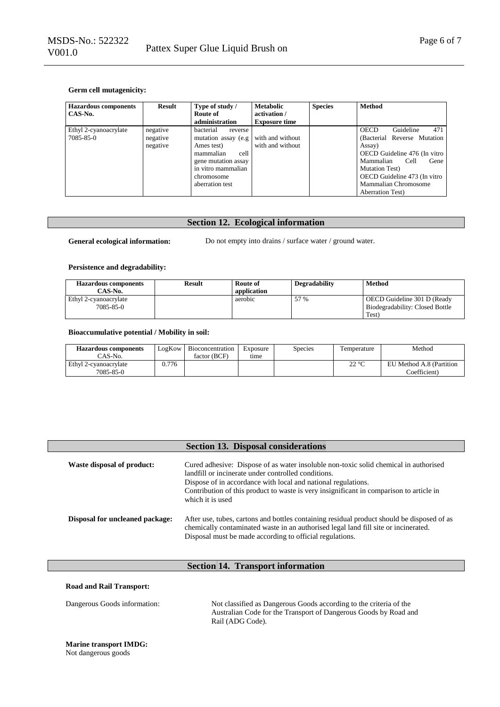### **Germ cell mutagenicity:**

| <b>Hazardous components</b><br>CAS-No. | <b>Result</b>                    | Type of study /<br>Route of<br>administration                                                                                                                 | <b>Metabolic</b><br>activation /<br><b>Exposure time</b> | <b>Species</b> | <b>Method</b>                                                                                                                                                                                                                                       |
|----------------------------------------|----------------------------------|---------------------------------------------------------------------------------------------------------------------------------------------------------------|----------------------------------------------------------|----------------|-----------------------------------------------------------------------------------------------------------------------------------------------------------------------------------------------------------------------------------------------------|
| Ethyl 2-cyanoacrylate<br>7085-85-0     | negative<br>negative<br>negative | bacterial<br>reverse<br>mutation assay (e.g.<br>Ames test)<br>cell<br>mammalian<br>gene mutation assay<br>in vitro mammalian<br>chromosome<br>aberration test | with and without<br>with and without                     |                | 471<br>Guideline<br><b>OECD</b><br>(Bacterial Reverse Mutation<br>Assay)<br>OECD Guideline 476 (In vitro<br>Mammalian<br>Cell<br>Gene<br><b>Mutation Test</b> )<br>OECD Guideline 473 (In vitro<br>Mammalian Chromosome<br><b>Aberration Test</b> ) |

### **Section 12. Ecological information**

General ecological information: Do not empty into drains / surface water / ground water.

### **Persistence and degradability:**

| <b>Hazardous components</b> | <b>Result</b> | Route of    | <b>Degradability</b> | Method                          |
|-----------------------------|---------------|-------------|----------------------|---------------------------------|
| CAS-No.                     |               | application |                      |                                 |
| Ethyl 2-cyanoacrylate       |               | aerobic     | 57 %                 | OECD Guideline 301 D (Ready     |
| 7085-85-0                   |               |             |                      | Biodegradability: Closed Bottle |
|                             |               |             |                      | Test)                           |

#### **Bioaccumulative potential / Mobility in soil:**

| <b>Hazardous components</b> | LogKow | Bioconcentration | Exposure | Species | l'emperature | Method                   |
|-----------------------------|--------|------------------|----------|---------|--------------|--------------------------|
| CAS-No.                     |        | factor (BCF)     | tıme     |         |              |                          |
| Ethyl 2-cyanoacrylate       | .776   |                  |          |         | ാറ∘ല<br>44 U | EU Method A.8 (Partition |
| 7085-85-0                   |        |                  |          |         |              | Coefficient)             |

|                                        | <b>Section 13. Disposal considerations</b>                                                                                                                                                                                                                                                                                  |
|----------------------------------------|-----------------------------------------------------------------------------------------------------------------------------------------------------------------------------------------------------------------------------------------------------------------------------------------------------------------------------|
| Waste disposal of product:             | Cured adhesive: Dispose of as water insoluble non-toxic solid chemical in authorised<br>landfill or incinerate under controlled conditions.<br>Dispose of in accordance with local and national regulations.<br>Contribution of this product to waste is very insignificant in comparison to article in<br>which it is used |
| <b>Disposal for uncleaned package:</b> | After use, tubes, cartons and bottles containing residual product should be disposed of as<br>chemically contaminated waste in an authorised legal land fill site or incinerated.<br>Disposal must be made according to official regulations.                                                                               |

## **Section 14. Transport information**

| <b>Road and Rail Transport:</b> |                                                                                                                                                            |
|---------------------------------|------------------------------------------------------------------------------------------------------------------------------------------------------------|
| Dangerous Goods information:    | Not classified as Dangerous Goods according to the criteria of the<br>Australian Code for the Transport of Dangerous Goods by Road and<br>Rail (ADG Code). |

# **Marine transport IMDG:**

Not dangerous goods